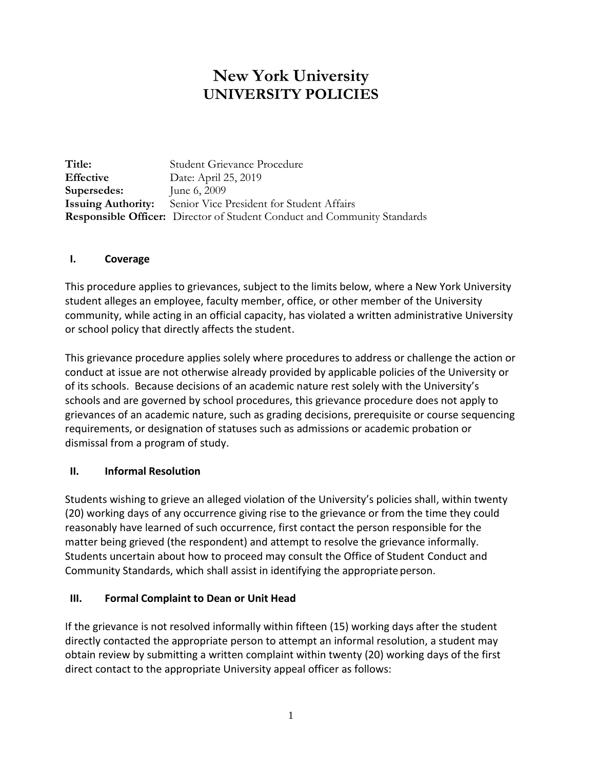# **New York University UNIVERSITY POLICIES**

**Title:** Student Grievance Procedure **Effective** Date: April 25, 2019 **Supersedes:** June 6, 2009 **Issuing Authority:** Senior Vice President for Student Affairs **Responsible Officer:** Director of Student Conduct and Community Standards

## **I. Coverage**

This procedure applies to grievances, subject to the limits below, where a New York University student alleges an employee, faculty member, office, or other member of the University community, while acting in an official capacity, has violated a written administrative University or school policy that directly affects the student.

This grievance procedure applies solely where procedures to address or challenge the action or conduct at issue are not otherwise already provided by applicable policies of the University or of its schools. Because decisions of an academic nature rest solely with the University's schools and are governed by school procedures, this grievance procedure does not apply to grievances of an academic nature, such as grading decisions, prerequisite or course sequencing requirements, or designation of statuses such as admissions or academic probation or dismissal from a program of study.

## **II. Informal Resolution**

Students wishing to grieve an alleged violation of the University's policies shall, within twenty (20) working days of any occurrence giving rise to the grievance or from the time they could reasonably have learned of such occurrence, first contact the person responsible for the matter being grieved (the respondent) and attempt to resolve the grievance informally. Students uncertain about how to proceed may consult the Office of Student Conduct and Community Standards, which shall assist in identifying the appropriate person.

## **III. Formal Complaint to Dean or Unit Head**

If the grievance is not resolved informally within fifteen (15) working days after the student directly contacted the appropriate person to attempt an informal resolution, a student may obtain review by submitting a written complaint within twenty (20) working days of the first direct contact to the appropriate University appeal officer as follows: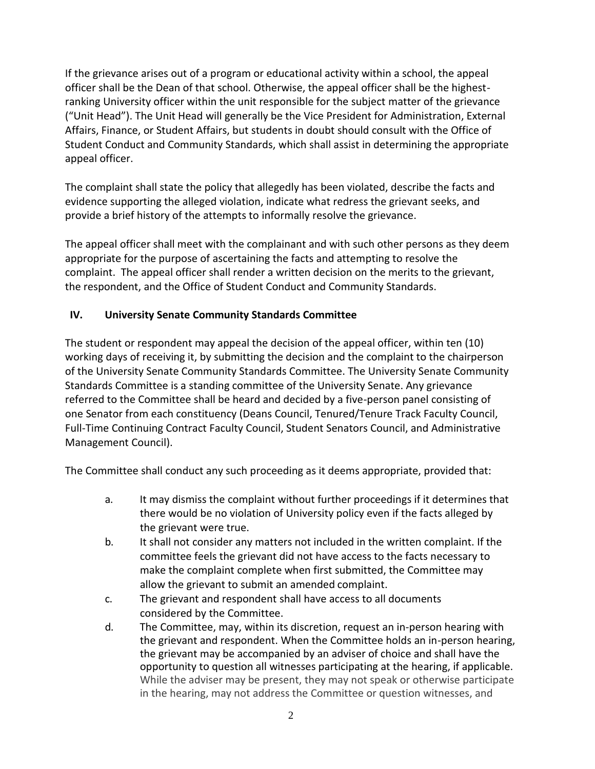If the grievance arises out of a program or educational activity within a school, the appeal officer shall be the Dean of that school. Otherwise, the appeal officer shall be the highestranking University officer within the unit responsible for the subject matter of the grievance ("Unit Head"). The Unit Head will generally be the Vice President for Administration, External Affairs, Finance, or Student Affairs, but students in doubt should consult with the Office of Student Conduct and Community Standards, which shall assist in determining the appropriate appeal officer.

The complaint shall state the policy that allegedly has been violated, describe the facts and evidence supporting the alleged violation, indicate what redress the grievant seeks, and provide a brief history of the attempts to informally resolve the grievance.

The appeal officer shall meet with the complainant and with such other persons as they deem appropriate for the purpose of ascertaining the facts and attempting to resolve the complaint. The appeal officer shall render a written decision on the merits to the grievant, the respondent, and the Office of Student Conduct and Community Standards.

## **IV. University Senate Community Standards Committee**

The student or respondent may appeal the decision of the appeal officer, within ten (10) working days of receiving it, by submitting the decision and the complaint to the chairperson of the University Senate Community Standards Committee. The University Senate Community Standards Committee is a standing committee of the University Senate. Any grievance referred to the Committee shall be heard and decided by a five-person panel consisting of one Senator from each constituency (Deans Council, Tenured/Tenure Track Faculty Council, Full-Time Continuing Contract Faculty Council, Student Senators Council, and Administrative Management Council).

The Committee shall conduct any such proceeding as it deems appropriate, provided that:

- a. It may dismiss the complaint without further proceedings if it determines that there would be no violation of University policy even if the facts alleged by the grievant were true.
- b. It shall not consider any matters not included in the written complaint. If the committee feels the grievant did not have access to the facts necessary to make the complaint complete when first submitted, the Committee may allow the grievant to submit an amended complaint.
- c. The grievant and respondent shall have access to all documents considered by the Committee.
- d. The Committee, may, within its discretion, request an in-person hearing with the grievant and respondent. When the Committee holds an in-person hearing, the grievant may be accompanied by an adviser of choice and shall have the opportunity to question all witnesses participating at the hearing, if applicable. While the adviser may be present, they may not speak or otherwise participate in the hearing, may not address the Committee or question witnesses, and